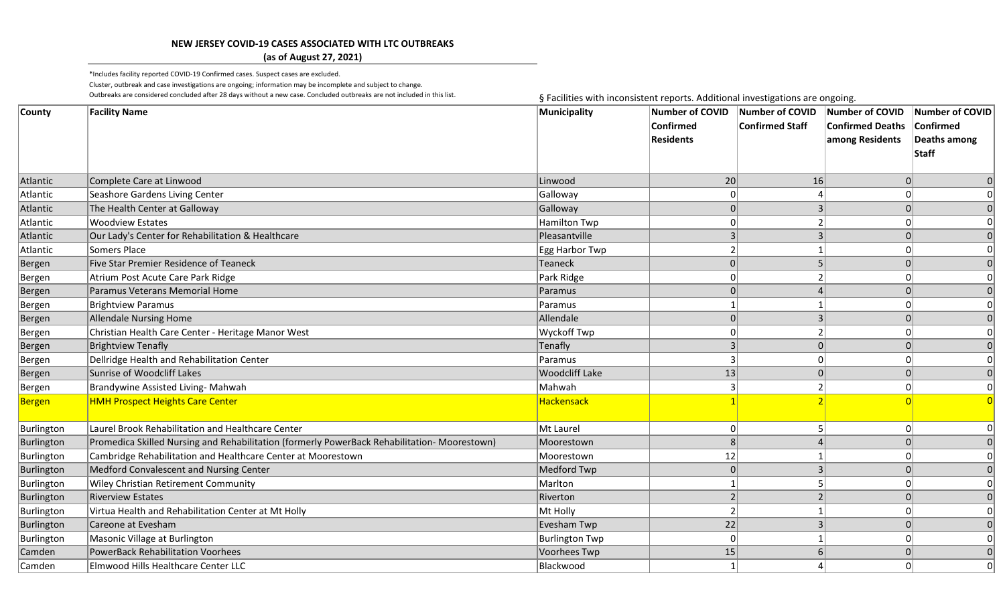## **NEW JERSEY COVID-19 CASES ASSOCIATED WITH LTC OUTBREAKS**

## **(as of August 27, 2021)**

\*Includes facility reported COVID-19 Confirmed cases. Suspect cases are excluded. Cluster, outbreak and case investigations are ongoing; information may be incomplete and subject to change. Outbreaks are considered concluded after 28 days without a new case. Concluded outbreaks are not included in this list.<br>
§ Facilities with inconsistent reports. Additional investigations are ongoing.

| County        | <b>Facility Name</b>                                                                         | Municipality          | <b>Number of COVID</b><br><b>Confirmed</b><br><b>Residents</b> | Number of COVID<br>Confirmed Staff | Number of COVID<br><b>Confirmed Deaths</b><br>among Residents | Number of COVID<br>Confirmed<br>Deaths among<br>Staff |
|---------------|----------------------------------------------------------------------------------------------|-----------------------|----------------------------------------------------------------|------------------------------------|---------------------------------------------------------------|-------------------------------------------------------|
| Atlantic      | Complete Care at Linwood                                                                     | Linwood               | 20                                                             | 16                                 | 0                                                             | 0                                                     |
| Atlantic      | Seashore Gardens Living Center                                                               | Galloway              |                                                                |                                    | $\Omega$                                                      |                                                       |
| Atlantic      | The Health Center at Galloway                                                                | Galloway              |                                                                |                                    | $\Omega$                                                      |                                                       |
| Atlantic      | <b>Woodview Estates</b>                                                                      | <b>Hamilton Twp</b>   |                                                                |                                    | $\Omega$                                                      |                                                       |
| Atlantic      | Our Lady's Center for Rehabilitation & Healthcare                                            | Pleasantville         | 3                                                              |                                    | $\Omega$                                                      | 0                                                     |
| Atlantic      | <b>Somers Place</b>                                                                          | Egg Harbor Twp        |                                                                |                                    | $\Omega$                                                      | 0                                                     |
| Bergen        | Five Star Premier Residence of Teaneck                                                       | Teaneck               |                                                                |                                    | $\Omega$                                                      | 0                                                     |
| Bergen        | Atrium Post Acute Care Park Ridge                                                            | Park Ridge            |                                                                |                                    |                                                               |                                                       |
| Bergen        | Paramus Veterans Memorial Home                                                               | Paramus               |                                                                |                                    |                                                               | 0                                                     |
| Bergen        | <b>Brightview Paramus</b>                                                                    | Paramus               |                                                                |                                    |                                                               | 0                                                     |
| Bergen        | <b>Allendale Nursing Home</b>                                                                | Allendale             |                                                                |                                    | $\Omega$                                                      | 0                                                     |
| Bergen        | Christian Health Care Center - Heritage Manor West                                           | Wyckoff Twp           |                                                                |                                    | $\Omega$                                                      | 0                                                     |
| Bergen        | <b>Brightview Tenafly</b>                                                                    | Tenafly               | 3                                                              |                                    | $\Omega$                                                      | $\Omega$                                              |
| Bergen        | Dellridge Health and Rehabilitation Center                                                   | Paramus               |                                                                |                                    | $\Omega$                                                      | 0                                                     |
| Bergen        | <b>Sunrise of Woodcliff Lakes</b>                                                            | <b>Woodcliff Lake</b> | 13                                                             |                                    | $\vert 0 \vert$                                               | 0                                                     |
| Bergen        | Brandywine Assisted Living- Mahwah                                                           | Mahwah                | 3                                                              |                                    | 0                                                             | 0                                                     |
| <b>Bergen</b> | <b>HMH Prospect Heights Care Center</b>                                                      | <b>Hackensack</b>     |                                                                |                                    |                                                               |                                                       |
| Burlington    | Laurel Brook Rehabilitation and Healthcare Center                                            | Mt Laurel             |                                                                |                                    | 0                                                             |                                                       |
| Burlington    | Promedica Skilled Nursing and Rehabilitation (formerly PowerBack Rehabilitation- Moorestown) | Moorestown            | 8                                                              |                                    | $\Omega$                                                      | 0                                                     |
| Burlington    | Cambridge Rehabilitation and Healthcare Center at Moorestown                                 | Moorestown            | 12                                                             |                                    |                                                               | 0                                                     |
| Burlington    | Medford Convalescent and Nursing Center                                                      | Medford Twp           | $\Omega$                                                       |                                    | $\Omega$                                                      | 0                                                     |
| Burlington    | Wiley Christian Retirement Community                                                         | Marlton               |                                                                |                                    | $\overline{0}$                                                | 0                                                     |
| Burlington    | <b>Riverview Estates</b>                                                                     | Riverton              |                                                                |                                    | $\Omega$                                                      | $\Omega$                                              |
| Burlington    | Virtua Health and Rehabilitation Center at Mt Holly                                          | Mt Holly              |                                                                |                                    | $\Omega$                                                      | 0                                                     |
| Burlington    | Careone at Evesham                                                                           | Evesham Twp           | 22                                                             |                                    |                                                               | 0                                                     |
| Burlington    | Masonic Village at Burlington                                                                | <b>Burlington Twp</b> | $\Omega$                                                       |                                    | $\Omega$                                                      | 0                                                     |
| Camden        | <b>PowerBack Rehabilitation Voorhees</b>                                                     | Voorhees Twp          | 15                                                             |                                    | $\Omega$                                                      | 0                                                     |
| Camden        | Elmwood Hills Healthcare Center LLC                                                          | Blackwood             |                                                                |                                    | $\Omega$                                                      | 0                                                     |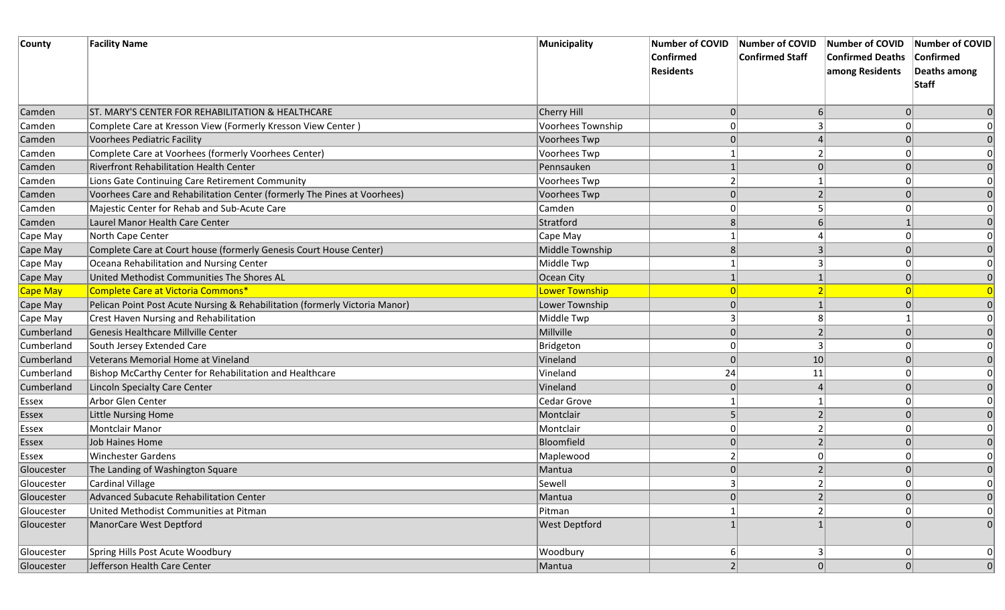| County     | <b>Facility Name</b>                                                        | Municipality         | <b>Number of COVID</b> | Number of COVID        | Number of COVID         | Number of COVID |
|------------|-----------------------------------------------------------------------------|----------------------|------------------------|------------------------|-------------------------|-----------------|
|            |                                                                             |                      | <b>Confirmed</b>       | <b>Confirmed Staff</b> | <b>Confirmed Deaths</b> | Confirmed       |
|            |                                                                             |                      | <b>Residents</b>       |                        | among Residents         | Deaths among    |
|            |                                                                             |                      |                        |                        |                         | <b>Staff</b>    |
| Camden     | ST. MARY'S CENTER FOR REHABILITATION & HEALTHCARE                           | Cherry Hill          | $\overline{0}$         | $6 \mid$               |                         |                 |
| Camden     | Complete Care at Kresson View (Formerly Kresson View Center)                | Voorhees Township    |                        |                        |                         |                 |
| Camden     | <b>Voorhees Pediatric Facility</b>                                          | Voorhees Twp         |                        |                        |                         |                 |
| Camden     | Complete Care at Voorhees (formerly Voorhees Center)                        | Voorhees Twp         |                        |                        |                         |                 |
| Camden     | <b>Riverfront Rehabilitation Health Center</b>                              | Pennsauken           |                        |                        |                         |                 |
| Camden     | Lions Gate Continuing Care Retirement Community                             | Voorhees Twp         |                        |                        |                         |                 |
| Camden     | Voorhees Care and Rehabilitation Center (formerly The Pines at Voorhees)    | Voorhees Twp         | 0                      |                        |                         |                 |
| Camden     | Majestic Center for Rehab and Sub-Acute Care                                | Camden               | 0                      |                        |                         |                 |
| Camden     | Laurel Manor Health Care Center                                             | Stratford            | 8                      |                        |                         |                 |
| Cape May   | North Cape Center                                                           | Cape May             |                        |                        |                         |                 |
| Cape May   | Complete Care at Court house (formerly Genesis Court House Center)          | Middle Township      | 8                      |                        |                         |                 |
| Cape May   | Oceana Rehabilitation and Nursing Center                                    | Middle Twp           |                        |                        |                         |                 |
| Cape May   | United Methodist Communities The Shores AL                                  | Ocean City           |                        |                        |                         |                 |
| Cape May   | Complete Care at Victoria Commons*                                          | Lower Township       | $\overline{0}$         |                        |                         |                 |
| Cape May   | Pelican Point Post Acute Nursing & Rehabilitation (formerly Victoria Manor) | Lower Township       | 0                      |                        |                         |                 |
| Cape May   | Crest Haven Nursing and Rehabilitation                                      | Middle Twp           | 3                      |                        |                         |                 |
| Cumberland | Genesis Healthcare Millville Center                                         | Millville            | $\Omega$               |                        |                         |                 |
| Cumberland | South Jersey Extended Care                                                  | Bridgeton            |                        |                        |                         |                 |
| Cumberland | Veterans Memorial Home at Vineland                                          | Vineland             | 0                      | 10                     |                         |                 |
| Cumberland | Bishop McCarthy Center for Rehabilitation and Healthcare                    | Vineland             | 24                     | 11                     |                         |                 |
| Cumberland | Lincoln Specialty Care Center                                               | Vineland             |                        |                        |                         |                 |
| Essex      | Arbor Glen Center                                                           | Cedar Grove          |                        |                        |                         |                 |
| Essex      | Little Nursing Home                                                         | Montclair            |                        |                        |                         |                 |
| Essex      | Montclair Manor                                                             | Montclair            |                        |                        |                         |                 |
| Essex      | Job Haines Home                                                             | Bloomfield           |                        |                        |                         |                 |
| Essex      | <b>Winchester Gardens</b>                                                   | Maplewood            |                        |                        |                         |                 |
| Gloucester | The Landing of Washington Square                                            | Mantua               | $\Omega$               |                        |                         |                 |
| Gloucester | <b>Cardinal Village</b>                                                     | Sewell               | 3                      | $\mathbf{z}$           | 0                       | υ               |
| Gloucester | Advanced Subacute Rehabilitation Center                                     | Mantua               | 0                      |                        |                         | $\mathbf 0$     |
| Gloucester | United Methodist Communities at Pitman                                      | Pitman               |                        |                        |                         | 0               |
| Gloucester | ManorCare West Deptford                                                     | <b>West Deptford</b> |                        |                        |                         | $\Omega$        |
| Gloucester | Spring Hills Post Acute Woodbury                                            | Woodbury             | 6                      | 3                      |                         | 0               |
| Gloucester | Jefferson Health Care Center                                                | Mantua               | $\overline{2}$         | $\overline{0}$         |                         | 0               |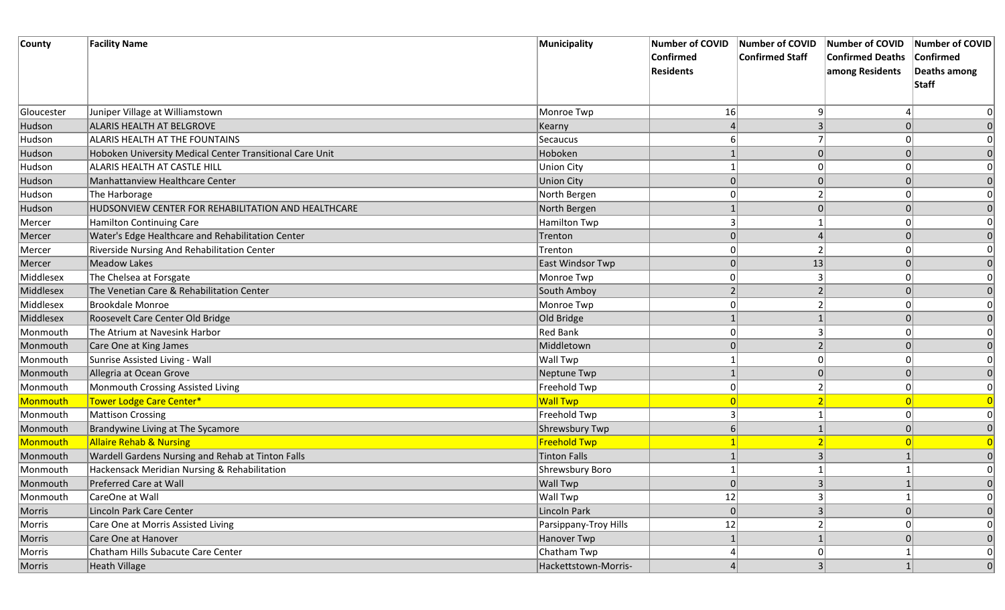| County     | <b>Facility Name</b>                                     | Municipality          | <b>Number of COVID</b> | Number of COVID        | Number of COVID Number of COVID |              |
|------------|----------------------------------------------------------|-----------------------|------------------------|------------------------|---------------------------------|--------------|
|            |                                                          |                       | <b>Confirmed</b>       | <b>Confirmed Staff</b> | <b>Confirmed Deaths</b>         | Confirmed    |
|            |                                                          |                       | <b>Residents</b>       |                        | among Residents                 | Deaths among |
|            |                                                          |                       |                        |                        |                                 | Staff        |
|            |                                                          |                       |                        |                        |                                 |              |
| Gloucester | Juniper Village at Williamstown                          | Monroe Twp            | 16                     |                        |                                 |              |
| Hudson     | ALARIS HEALTH AT BELGROVE                                | Kearny                |                        |                        |                                 |              |
| Hudson     | <b>ALARIS HEALTH AT THE FOUNTAINS</b>                    | Secaucus              |                        |                        |                                 |              |
| Hudson     | Hoboken University Medical Center Transitional Care Unit | Hoboken               |                        |                        |                                 |              |
| Hudson     | ALARIS HEALTH AT CASTLE HILL                             | <b>Union City</b>     |                        |                        |                                 |              |
| Hudson     | Manhattanview Healthcare Center                          | <b>Union City</b>     |                        |                        |                                 |              |
| Hudson     | The Harborage                                            | North Bergen          |                        |                        |                                 |              |
| Hudson     | HUDSONVIEW CENTER FOR REHABILITATION AND HEALTHCARE      | North Bergen          |                        |                        |                                 |              |
| Mercer     | Hamilton Continuing Care                                 | <b>Hamilton Twp</b>   |                        |                        |                                 |              |
| Mercer     | Water's Edge Healthcare and Rehabilitation Center        | Trenton               |                        |                        |                                 |              |
| Mercer     | Riverside Nursing And Rehabilitation Center              | Trenton               |                        |                        |                                 |              |
| Mercer     | <b>Meadow Lakes</b>                                      | East Windsor Twp      |                        | 13                     |                                 |              |
| Middlesex  | The Chelsea at Forsgate                                  | Monroe Twp            |                        |                        |                                 | 0            |
| Middlesex  | The Venetian Care & Rehabilitation Center                | South Amboy           |                        |                        |                                 |              |
| Middlesex  | <b>Brookdale Monroe</b>                                  | Monroe Twp            |                        |                        |                                 |              |
| Middlesex  | Roosevelt Care Center Old Bridge                         | Old Bridge            |                        |                        |                                 | 0            |
| Monmouth   | The Atrium at Navesink Harbor                            | <b>Red Bank</b>       |                        |                        |                                 |              |
| Monmouth   | Care One at King James                                   | Middletown            |                        |                        |                                 |              |
| Monmouth   | Sunrise Assisted Living - Wall                           | <b>Wall Twp</b>       |                        |                        |                                 |              |
| Monmouth   | Allegria at Ocean Grove                                  | Neptune Twp           |                        |                        |                                 | 0            |
| Monmouth   | Monmouth Crossing Assisted Living                        | Freehold Twp          | 0                      |                        |                                 |              |
| Monmouth   | <b>Tower Lodge Care Center*</b>                          | <b>Wall Twp</b>       |                        |                        |                                 |              |
| Monmouth   | Mattison Crossing                                        | Freehold Twp          |                        |                        |                                 | 0            |
| Monmouth   | Brandywine Living at The Sycamore                        | Shrewsbury Twp        | 6                      |                        |                                 |              |
| Monmouth   | <b>Allaire Rehab &amp; Nursing</b>                       | <b>Freehold Twp</b>   |                        |                        |                                 |              |
| Monmouth   | Wardell Gardens Nursing and Rehab at Tinton Falls        | Tinton Falls          |                        |                        |                                 |              |
| Monmouth   | Hackensack Meridian Nursing & Rehabilitation             | Shrewsbury Boro       |                        |                        |                                 | 0            |
| Monmouth   | Preferred Care at Wall                                   | Wall Twp              | 0                      |                        |                                 | 0            |
| Monmouth   | CareOne at Wall                                          | Wall Twp              | 12                     |                        |                                 | 0            |
| Morris     | Lincoln Park Care Center                                 | Lincoln Park          | 0                      |                        |                                 | 0            |
| Morris     | Care One at Morris Assisted Living                       | Parsippany-Troy Hills | 12                     |                        |                                 | 0            |
| Morris     | Care One at Hanover                                      | Hanover Twp           |                        |                        |                                 | 0            |
| Morris     | Chatham Hills Subacute Care Center                       | Chatham Twp           |                        |                        |                                 | 0            |
| Morris     | Heath Village                                            | Hackettstown-Morris-  |                        | $\mathbf{R}$           |                                 | 0            |